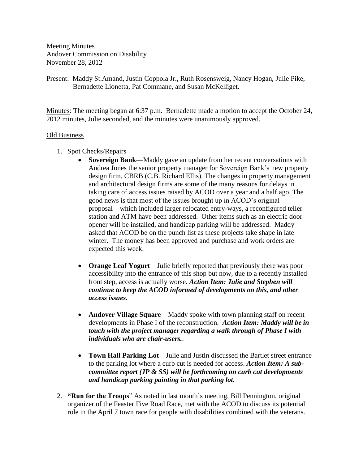Meeting Minutes Andover Commission on Disability November 28, 2012

Present: Maddy St.Amand, Justin Coppola Jr., Ruth Rosensweig, Nancy Hogan, Julie Pike, Bernadette Lionetta, Pat Commane, and Susan McKelliget.

Minutes: The meeting began at 6:37 p.m. Bernadette made a motion to accept the October 24, 2012 minutes, Julie seconded, and the minutes were unanimously approved.

## Old Business

- 1. Spot Checks/Repairs
	- **Sovereign Bank**—Maddy gave an update from her recent conversations with Andrea Jones the senior property manager for Sovereign Bank's new property design firm, CBRB (C.B. Richard Ellis). The changes in property management and architectural design firms are some of the many reasons for delays in taking care of access issues raised by ACOD over a year and a half ago. The good news is that most of the issues brought up in ACOD's original proposal—which included larger relocated entry-ways, a reconfigured teller station and ATM have been addressed. Other items such as an electric door opener will be installed, and handicap parking will be addressed. Maddy  **a**sked that ACOD be on the punch list as these projects take shape in late winter. The money has been approved and purchase and work orders are expected this week.
	- **Orange Leaf Yogurt**—Julie briefly reported that previously there was poor accessibility into the entrance of this shop but now, due to a recently installed front step, access is actually worse. *Action Item: Julie and Stephen will continue to keep the ACOD informed of developments on this, and other access issues.*
	- **Andover Village Square—Maddy spoke with town planning staff on recent** developments in Phase I of the reconstruction. *Action Item: Maddy will be in touch with the project manager regarding a walk through of Phase I with individuals who are chair-users.*.
	- **Town Hall Parking Lot**—Julie and Justin discussed the Bartlet street entrance to the parking lot where a curb cut is needed for access. *Action Item: A subcommittee report (JP & SS) will be forthcoming on curb cut developments and handicap parking painting in that parking lot.*
- 2. **"Run for the Troops**" As noted in last month's meeting, Bill Pennington, original organizer of the Feaster Five Road Race, met with the ACOD to discuss its potential role in the April 7 town race for people with disabilities combined with the veterans.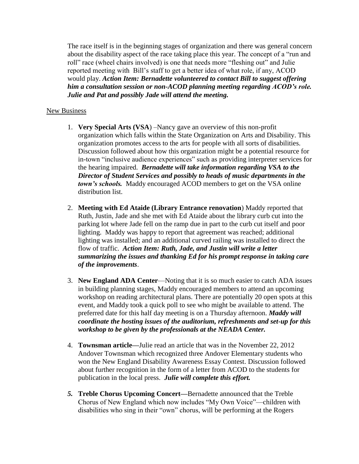The race itself is in the beginning stages of organization and there was general concern about the disability aspect of the race taking place this year. The concept of a "run and roll" race (wheel chairs involved) is one that needs more "fleshing out" and Julie reported meeting with Bill's staff to get a better idea of what role, if any, ACOD would play. *Action Item: Bernadette volunteered to contact Bill to suggest offering him a consultation session or non-ACOD planning meeting regarding ACOD's role. Julie and Pat and possibly Jade will attend the meeting.*

## New Business

- 1. **Very Special Arts (VSA**) –Nancy gave an overview of this non-profit organization which falls within the State Organization on Arts and Disability. This organization promotes access to the arts for people with all sorts of disabilities. Discussion followed about how this organization might be a potential resource for in-town "inclusive audience experiences" such as providing interpreter services for the hearing impaired. *Bernadette will take information regarding VSA to the Director of Student Services and possibly to heads of music departments in the town's schools.* Maddy encouraged ACOD members to get on the VSA online distribution list.
- 2. **Meeting with Ed Ataide (Library Entrance renovation**) Maddy reported that Ruth, Justin, Jade and she met with Ed Ataide about the library curb cut into the parking lot where Jade fell on the ramp due in part to the curb cut itself and poor lighting. Maddy was happy to report that agreement was reached; additional lighting was installed; and an additional curved railing was installed to direct the flow of traffic. *Action Item: Ruth, Jade, and Justin will write a letter summarizing the issues and thanking Ed for his prompt response in taking care of the improvements*.
- 3. **New England ADA Center**—Noting that it is so much easier to catch ADA issues in building planning stages, Maddy encouraged members to attend an upcoming workshop on reading architectural plans. There are potentially 20 open spots at this event, and Maddy took a quick poll to see who might be available to attend. The preferred date for this half day meeting is on a Thursday afternoon. *Maddy will coordinate the hosting issues of the auditorium, refreshments and set-up for this workshop to be given by the professionals at the NEADA Center.*
- 4. **Townsman article—**Julie read an article that was in the November 22, 2012 Andover Townsman which recognized three Andover Elementary students who won the New England Disability Awareness Essay Contest. Discussion followed about further recognition in the form of a letter from ACOD to the students for publication in the local press. *Julie will complete this effort.*
- *5.* **Treble Chorus Upcoming Concert—**Bernadette announced that the Treble Chorus of New England which now includes "My Own Voice"—children with disabilities who sing in their "own" chorus, will be performing at the Rogers